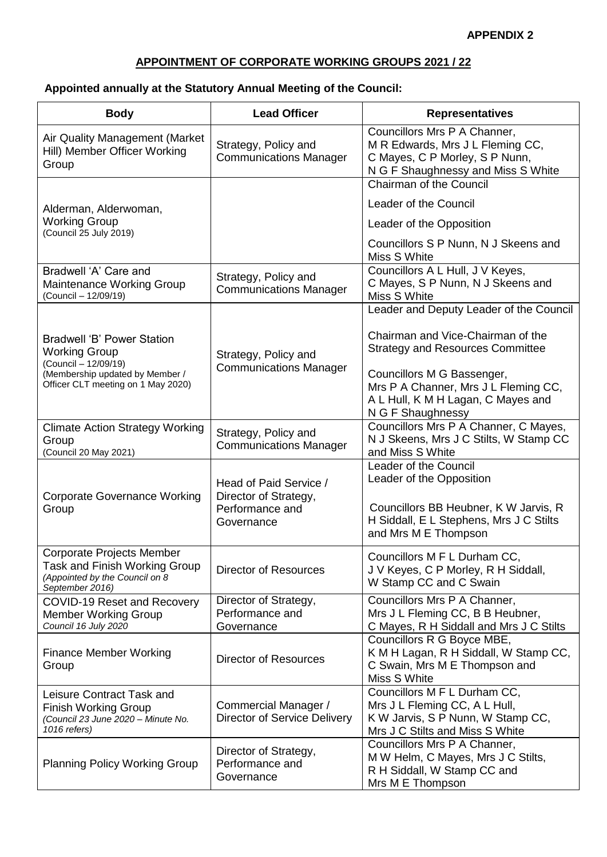## **APPENDIX 2**

## **APPOINTMENT OF CORPORATE WORKING GROUPS 2021 / 22**

## **Appointed annually at the Statutory Annual Meeting of the Council:**

| <b>Body</b>                                                                                                     | <b>Lead Officer</b>                                                              | <b>Representatives</b>                                                                                                                                        |
|-----------------------------------------------------------------------------------------------------------------|----------------------------------------------------------------------------------|---------------------------------------------------------------------------------------------------------------------------------------------------------------|
| Air Quality Management (Market<br>Hill) Member Officer Working<br>Group                                         | Strategy, Policy and<br><b>Communications Manager</b>                            | Councillors Mrs P A Channer,<br>M R Edwards, Mrs J L Fleming CC,<br>C Mayes, C P Morley, S P Nunn,<br>N G F Shaughnessy and Miss S White                      |
|                                                                                                                 |                                                                                  | Chairman of the Council                                                                                                                                       |
| Alderman, Alderwoman,                                                                                           |                                                                                  | Leader of the Council                                                                                                                                         |
| <b>Working Group</b><br>(Council 25 July 2019)                                                                  |                                                                                  | Leader of the Opposition                                                                                                                                      |
|                                                                                                                 |                                                                                  | Councillors S P Nunn, N J Skeens and<br>Miss S White                                                                                                          |
| Bradwell 'A' Care and<br>Maintenance Working Group<br>(Council - 12/09/19)                                      | Strategy, Policy and<br><b>Communications Manager</b>                            | Councillors A L Hull, J V Keyes,<br>C Mayes, S P Nunn, N J Skeens and<br>Miss S White                                                                         |
|                                                                                                                 |                                                                                  | Leader and Deputy Leader of the Council                                                                                                                       |
| Bradwell 'B' Power Station<br><b>Working Group</b>                                                              | Strategy, Policy and                                                             | Chairman and Vice-Chairman of the<br><b>Strategy and Resources Committee</b>                                                                                  |
| (Council - 12/09/19)<br>(Membership updated by Member /<br>Officer CLT meeting on 1 May 2020)                   | <b>Communications Manager</b>                                                    | Councillors M G Bassenger,<br>Mrs P A Channer, Mrs J L Fleming CC,<br>A L Hull, K M H Lagan, C Mayes and<br>N G F Shaughnessy                                 |
| <b>Climate Action Strategy Working</b><br>Group<br>(Council 20 May 2021)                                        | Strategy, Policy and<br><b>Communications Manager</b>                            | Councillors Mrs P A Channer, C Mayes,<br>N J Skeens, Mrs J C Stilts, W Stamp CC<br>and Miss S White                                                           |
| <b>Corporate Governance Working</b><br>Group                                                                    | Head of Paid Service /<br>Director of Strategy,<br>Performance and<br>Governance | Leader of the Council<br>Leader of the Opposition<br>Councillors BB Heubner, K W Jarvis, R<br>H Siddall, E L Stephens, Mrs J C Stilts<br>and Mrs M E Thompson |
| Corporate Projects Member<br>Task and Finish Working Group<br>(Appointed by the Council on 8<br>September 2016) | <b>Director of Resources</b>                                                     | Councillors M F L Durham CC,<br>J V Keyes, C P Morley, R H Siddall,<br>W Stamp CC and C Swain                                                                 |
| COVID-19 Reset and Recovery<br><b>Member Working Group</b><br>Council 16 July 2020                              | Director of Strategy,<br>Performance and<br>Governance                           | Councillors Mrs P A Channer,<br>Mrs J L Fleming CC, B B Heubner,<br>C Mayes, R H Siddall and Mrs J C Stilts                                                   |
| <b>Finance Member Working</b><br>Group                                                                          | <b>Director of Resources</b>                                                     | Councillors R G Boyce MBE,<br>K M H Lagan, R H Siddall, W Stamp CC,<br>C Swain, Mrs M E Thompson and<br>Miss S White                                          |
| Leisure Contract Task and<br><b>Finish Working Group</b><br>(Council 23 June 2020 - Minute No.<br>1016 refers)  | Commercial Manager /<br>Director of Service Delivery                             | Councillors M F L Durham CC,<br>Mrs J L Fleming CC, A L Hull,<br>K W Jarvis, S P Nunn, W Stamp CC,<br>Mrs J C Stilts and Miss S White                         |
| <b>Planning Policy Working Group</b>                                                                            | Director of Strategy,<br>Performance and<br>Governance                           | Councillors Mrs P A Channer,<br>M W Helm, C Mayes, Mrs J C Stilts,<br>R H Siddall, W Stamp CC and<br>Mrs M E Thompson                                         |